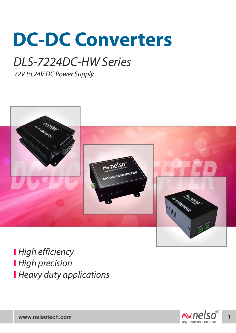# **DC-DC Converters**

## DLS-7224DC-HW Series

72V to 24V DC Power Supply



**High efficiency High precision Heavy duty applications** 

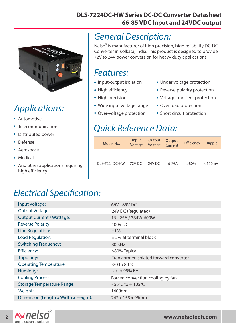#### **DLS-7224DC-HW Series DC-DC Converter Datasheet 66-85 VDC Input and 24VDC output**



### Applications:

- . Automotive
- . Telecommunications
- . . Distributed power
- Defense
- . Aerospace
- Aerospa<br>• Medical
- . And other applications requiring high efficiency

#### General Description:

Nelso<sup>®</sup> is manufacturer of high precision, high reliability DC-DC Converter in Kolkata, India. This product is designed to provide 72V to 24V power conversion for heavy duty applications.

#### Features:

- I CULUICS.<br>• Input-output isolation
- Input-output is<br>• High efficiency
- High efficiency<br>• High precision
- High precision<br>• Wide input voltage range
- Wide input voltage rang<br>• Over-voltage protection
- Under voltage protection .
- Under voltage protection<br>• Reverse polarity protection
- Reverse polarity protection<br>• Voltage transient protection
- Voltage transient pro<br>• Over load protection
- Over load protection<br>• Short circuit protection

#### Quick Reference Data:

| Model No.     | Input<br>Voltage  | Output<br>Voltage | <b>Output</b><br>Current | Efficiency | Ripple       |
|---------------|-------------------|-------------------|--------------------------|------------|--------------|
| DLS-7224DC-HW | 72V <sub>DC</sub> | 24V DC            | $16-25A$                 | $>80\%$    | $<$ 150 $mV$ |

#### Electrical Specification:

| Input Voltage:                       | 66V - 85V DC                           |  |  |
|--------------------------------------|----------------------------------------|--|--|
| <b>Output Voltage:</b>               | 24V DC (Regulated)                     |  |  |
| <b>Output Current / Wattage:</b>     | 16 - 25A / 384W-600W                   |  |  |
| <b>Reverse Polarity:</b>             | <b>100V DC</b>                         |  |  |
| Line Regulation:                     | ±1%                                    |  |  |
| Load Regulation:                     | $\pm$ 5% at terminal block             |  |  |
| <b>Switching Frequency:</b>          | 80 KHz                                 |  |  |
| <b>Efficiency:</b>                   | >80% Typical                           |  |  |
| Topology:                            | Transformer isolated forward converter |  |  |
| <b>Operating Temperature:</b>        | -20 to 80 $^{\circ}$ C                 |  |  |
| Humidity:                            | Up to 95% RH                           |  |  |
| <b>Cooling Process:</b>              | Forced convection cooling by fan       |  |  |
| <b>Storage Temperature Range:</b>    | $-55^{\circ}$ C to + 105 $^{\circ}$ C  |  |  |
| Weight:                              | 1400gm                                 |  |  |
| Dimension (Length x Width x Height): | 242 x 155 x 95mm                       |  |  |